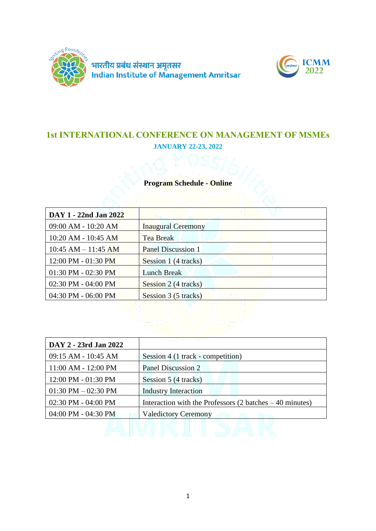



# **1st INTERNATIONAL CONFERENCE ON MANAGEMENT OF MSMEs JANUARY 22-23, 2022**

## **Program Schedule - Online**

| DAY 1 - 22nd Jan 2022                 |                           |
|---------------------------------------|---------------------------|
| 09:00 AM - 10:20 AM                   | <b>Inaugural Ceremony</b> |
| 10:20 AM - 10:45 AM                   | <b>Tea Break</b>          |
| $10:45$ AM $- 11:45$ AM               | <b>Panel Discussion 1</b> |
| $12:00 \text{ PM} - 01:30 \text{ PM}$ | Session 1 (4 tracks)      |
| $01:30$ PM - $02:30$ PM               | <b>Lunch Break</b>        |
| 02:30 PM - 04:00 PM                   | Session 2 (4 tracks)      |
| 04:30 PM - 06:00 PM                   | Session 3 (5 tracks)      |

| DAY 2 - 23rd Jan 2022   |                                                                            |
|-------------------------|----------------------------------------------------------------------------|
| 09:15 AM - 10:45 AM     | Session 4 (1 track - competition)                                          |
| 11:00 AM - 12:00 PM     | Panel Discussion 2                                                         |
| 12:00 PM - 01:30 PM     | Session 5 (4 tracks)                                                       |
| $01:30$ PM $-02:30$ PM  | <b>Industry Interaction</b>                                                |
| $02:30$ PM - $04:00$ PM | Interaction with the Professors $(2 \text{ batches} - 40 \text{ minutes})$ |
| $04:00$ PM - 04:30 PM   | <b>Valedictory Ceremony</b>                                                |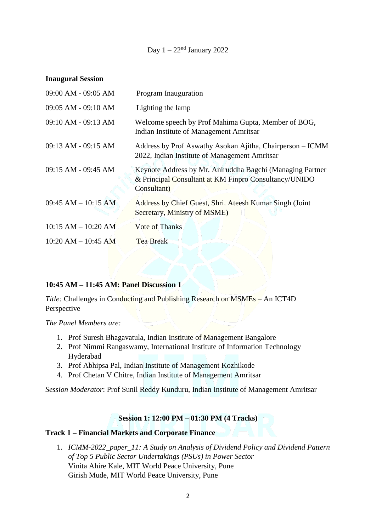## Day  $1 - 22<sup>nd</sup>$  January 2022

#### **Inaugural Session**

| 09:00 AM - 09:05 AM     | Program Inauguration                                                                                                              |
|-------------------------|-----------------------------------------------------------------------------------------------------------------------------------|
| 09:05 AM - 09:10 AM     | Lighting the lamp                                                                                                                 |
| $09:10$ AM - $09:13$ AM | Welcome speech by Prof Mahima Gupta, Member of BOG,<br>Indian Institute of Management Amritsar                                    |
| 09:13 AM - 09:15 AM     | Address by Prof Aswathy Asokan Ajitha, Chairperson – ICMM<br>2022, Indian Institute of Management Amritsar                        |
| $09:15$ AM - $09:45$ AM | Keynote Address by Mr. Aniruddha Bagchi (Managing Partner<br>& Principal Consultant at KM Finpro Consultancy/UNIDO<br>Consultant) |
| $09:45$ AM $- 10:15$ AM | Address by Chief Guest, Shri. Ateesh Kumar Singh (Joint<br>Secretary, Ministry of MSME)                                           |
| $10:15$ AM $- 10:20$ AM | <b>Vote of Thanks</b>                                                                                                             |
| $10:20$ AM $- 10:45$ AM | <b>Tea Break</b>                                                                                                                  |
|                         |                                                                                                                                   |

#### **10:45 AM – 11:45 AM: Panel Discussion 1**

*Title:* Challenges in Conducting and Publishing Research on MSMEs – An ICT4D Perspective

*The Panel Members are:*

- 1. Prof Suresh Bhagavatula, Indian Institute of Management Bangalore
- 2. Prof Nimmi Rangaswamy, International Institute of Information Technology Hyderabad
- 3. Prof Abhipsa Pal, Indian Institute of Management Kozhikode
- 4. Prof Chetan V Chitre, Indian Institute of Management Amritsar

*Session Moderator*: Prof Sunil Reddy Kunduru, Indian Institute of Management Amritsar

#### **Session 1: 12:00 PM – 01:30 PM (4 Tracks)**

#### **Track 1 – Financial Markets and Corporate Finance**

1. *ICMM-2022\_paper\_11: A Study on Analysis of Dividend Policy and Dividend Pattern of Top 5 Public Sector Undertakings (PSUs) in Power Sector* Vinita Ahire Kale, MIT World Peace University, Pune Girish Mude, MIT World Peace University, Pune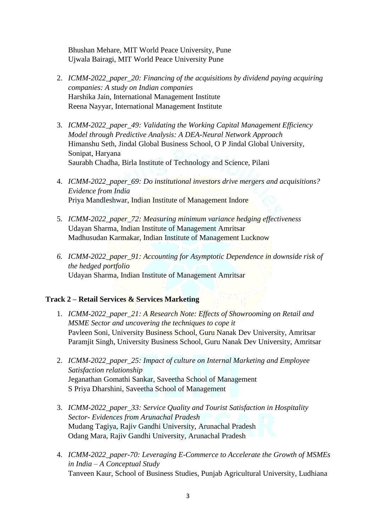Bhushan Mehare, MIT World Peace University, Pune Ujwala Bairagi, MIT World Peace University Pune

- 2. *ICMM-2022\_paper\_20: Financing of the acquisitions by dividend paying acquiring companies: A study on Indian companies* Harshika Jain, International Management Institute Reena Nayyar, International Management Institute
- 3. *ICMM-2022\_paper\_49: Validating the Working Capital Management Efficiency Model through Predictive Analysis: A DEA-Neural Network Approach* Himanshu Seth, Jindal Global Business School, O P Jindal Global University, Sonipat, Haryana Saurabh Chadha, Birla Institute of Technology and Science, Pilani
- 4. *ICMM-2022\_paper\_69: Do institutional investors drive mergers and acquisitions? Evidence from India* Priya Mandleshwar, Indian Institute of Management Indore
- 5. *ICMM-2022\_paper\_72: Measuring minimum variance hedging effectiveness* Udayan Sharma, Indian Institute of Management Amritsar Madhusudan Karmakar, Indian Institute of Management Lucknow
- *6. ICMM-2022\_paper\_91: Accounting for Asymptotic Dependence in downside risk of the hedged portfolio* Udayan Sharma, Indian Institute of Management Amritsar

#### **Track 2 – Retail Services & Services Marketing**

- 1. *ICMM-2022\_paper\_21: A Research Note: Effects of Showrooming on Retail and MSME Sector and uncovering the techniques to cope it* Pavleen Soni, University Business School, Guru Nanak Dev University, Amritsar Paramjit Singh, University Business School, Guru Nanak Dev University, Amritsar
- 2. *ICMM-2022\_paper\_25: Impact of culture on Internal Marketing and Employee Satisfaction relationship* Jeganathan Gomathi Sankar, Saveetha School of Management S Priya Dharshini, Saveetha School of Management
- 3. *ICMM-2022\_paper\_33: Service Quality and Tourist Satisfaction in Hospitality Sector- Evidences from Arunachal Pradesh* Mudang Tagiya, Rajiv Gandhi University, Arunachal Pradesh Odang Mara, Rajiv Gandhi University, Arunachal Pradesh
- 4. *ICMM-2022\_paper-70: Leveraging E-Commerce to Accelerate the Growth of MSMEs in India – A Conceptual Study* Tanveen Kaur, School of Business Studies, Punjab Agricultural University, Ludhiana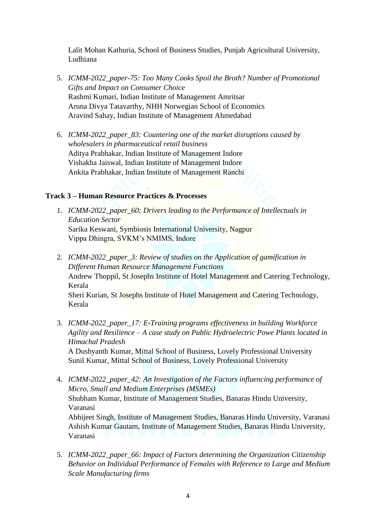Lalit Mohan Kathuria, School of Business Studies, Punjab Agricultural University, Ludhiana

- 5. *ICMM-2022\_paper-75: Too Many Cooks Spoil the Broth? Number of Promotional Gifts and Impact on Consumer Choice* Rashmi Kumari, Indian Institute of Management Amritsar Aruna Divya Tatavarthy, NHH Norwegian School of Economics Aravind Sahay, Indian Institute of Management Ahmedabad
- 6. *ICMM-2022\_paper\_83: Countering one of the market disruptions caused by wholesalers in pharmaceutical retail business* Aditya Prabhakar, Indian Institute of Management Indore Vishakha Jaiswal, Indian Institute of Management Indore Ankita Prabhakar, Indian Institute of Management Ranchi

#### **Track 3 – Human Resource Practices & Processes**

- 1. *ICMM-2022\_paper\_60: Drivers leading to the Performance of Intellectuals in Education Sector* Sarika Keswani, Symbiosis International University, Nagpur Vippa Dhingra, SVKM's NMIMS, Indore
- 2. *ICMM-2022\_paper\_3: Review of studies on the Application of gamification in Different Human Resource Management Functions* Andrew Thoppil, St Josephs Institute of Hotel Management and Catering Technology, Kerala Sheri Kurian, St Josephs Institute of Hotel Management and Catering Technology, Kerala
- 3. *ICMM-2022\_paper\_17: E-Training programs effectiveness in building Workforce Agility and Resilience – A case study on Public Hydroelectric Powe Plants located in Himachal Pradesh*

A Dushyanth Kumar, Mittal School of Business, Lovely Professional University Sunil Kumar, Mittal School of Business, Lovely Professional University

- 4. *ICMM-2022\_paper\_42: An Investigation of the Factors influencing performance of Micro, Small and Medium Enterprises (MSMEs)* Shubham Kumar, Institute of Management Studies, Banaras Hindu University, Varanasi Abhijeet Singh, Institute of Management Studies, Banaras Hindu University, Varanasi Ashish Kumar Gautam, Institute of Management Studies, Banaras Hindu University, Varanasi
- 5. *ICMM-2022\_paper\_66: Impact of Factors determining the Organization Citizenship Behavior on Individual Performance of Females with Reference to Large and Medium Scale Manufacturing firms*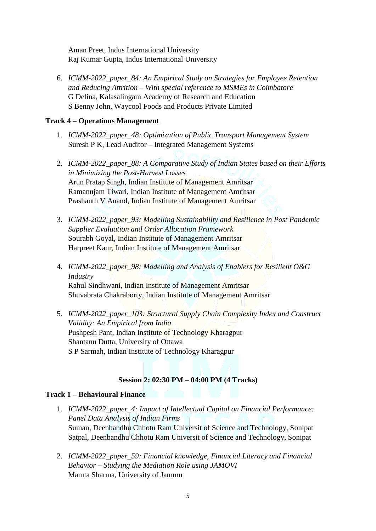Aman Preet, Indus International University Raj Kumar Gupta, Indus International University

6. *ICMM-2022\_paper\_84: An Empirical Study on Strategies for Employee Retention and Reducing Attrition – With special reference to MSMEs in Coimbatore* G Delina, Kalasalingam Academy of Research and Education S Benny John, Waycool Foods and Products Private Limited

#### **Track 4 – Operations Management**

- 1. *ICMM-2022\_paper\_48: Optimization of Public Transport Management System* Suresh P K, Lead Auditor – Integrated Management Systems
- 2. *ICMM-2022\_paper\_88: A Comparative Study of Indian States based on their Efforts in Minimizing the Post-Harvest Losses* Arun Pratap Singh, Indian Institute of Management Amritsar Ramanujam Tiwari, Indian Institute of Management Amritsar Prashanth V Anand, Indian Institute of Management Amritsar
- 3. *ICMM-2022\_paper\_93: Modelling Sustainability and Resilience in Post Pandemic Supplier Evaluation and Order Allocation Framework* Sourabh Goyal, Indian Institute of Management Amritsar Harpreet Kaur, Indian Institute of Management Amritsar
- 4. *ICMM-2022\_paper\_98: Modelling and Analysis of Enablers for Resilient O&G Industry* Rahul Sindhwani, Indian Institute of Management Amritsar Shuvabrata Chakraborty, Indian Institute of Management Amritsar
- 5. *ICMM-2022\_paper\_103: Structural Supply Chain Complexity Index and Construct Validity: An Empirical from India* Pushpesh Pant, Indian Institute of Technology Kharagpur Shantanu Dutta, University of Ottawa S P Sarmah, Indian Institute of Technology Kharagpur

#### **Session 2: 02:30 PM – 04:00 PM (4 Tracks)**

#### **Track 1 – Behavioural Finance**

- 1. *ICMM-2022\_paper\_4: Impact of Intellectual Capital on Financial Performance: Panel Data Analysis of Indian Firms* Suman, Deenbandhu Chhotu Ram Universit of Science and Technology, Sonipat Satpal, Deenbandhu Chhotu Ram Universit of Science and Technology, Sonipat
- 2. *ICMM-2022\_paper\_59: Financial knowledge, Financial Literacy and Financial Behavior – Studying the Mediation Role using JAMOVI* Mamta Sharma, University of Jammu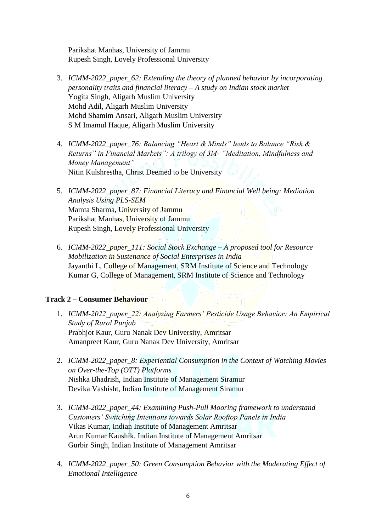Parikshat Manhas, University of Jammu Rupesh Singh, Lovely Professional University

- 3. *ICMM-2022\_paper\_62: Extending the theory of planned behavior by incorporating personality traits and financial literacy – A study on Indian stock market* Yogita Singh, Aligarh Muslim University Mohd Adil, Aligarh Muslim University Mohd Shamim Ansari, Aligarh Muslim University S M Imamul Haque, Aligarh Muslim University
- 4. *ICMM-2022\_paper\_76: Balancing "Heart & Minds" leads to Balance "Risk & Returns" in Financial Markets": A trilogy of 3M- "Meditation, Mindfulness and Money Management"* Nitin Kulshrestha, Christ Deemed to be University
- 5. *ICMM-2022\_paper\_87: Financial Literacy and Financial Well being: Mediation Analysis Using PLS-SEM* Mamta Sharma, University of Jammu Parikshat Manhas, University of Jammu Rupesh Singh, Lovely Professional University
- 6. *ICMM-2022\_paper\_111: Social Stock Exchange – A proposed tool for Resource Mobilization in Sustenance of Social Enterprises in India* Jayanthi L, College of Management, SRM Institute of Science and Technology Kumar G, College of Management, SRM Institute of Science and Technology

#### **Track 2 – Consumer Behaviour**

- 1. *ICMM-2022\_paper\_22: Analyzing Farmers' Pesticide Usage Behavior: An Empirical Study of Rural Punjab* Prabhjot Kaur, Guru Nanak Dev University, Amritsar Amanpreet Kaur, Guru Nanak Dev University, Amritsar
- 2. *ICMM-2022\_paper\_8: Experiential Consumption in the Context of Watching Movies on Over-the-Top (OTT) Platforms* Nishka Bhadrish, Indian Institute of Management Siramur Devika Vashisht, Indian Institute of Management Siramur
- 3. *ICMM-2022\_paper\_44: Examining Push-Pull Mooring framework to understand Customers' Switching Intentions towards Solar Rooftop Panels in India* Vikas Kumar, Indian Institute of Management Amritsar Arun Kumar Kaushik, Indian Institute of Management Amritsar Gurbir Singh, Indian Institute of Management Amritsar
- 4. *ICMM-2022\_paper\_50: Green Consumption Behavior with the Moderating Effect of Emotional Intelligence*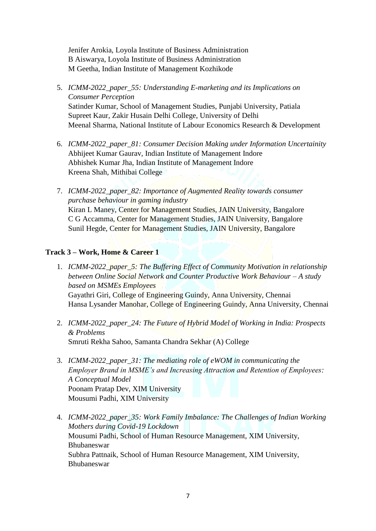Jenifer Arokia, Loyola Institute of Business Administration B Aiswarya, Loyola Institute of Business Administration M Geetha, Indian Institute of Management Kozhikode

- 5. *ICMM-2022\_paper\_55: Understanding E-marketing and its Implications on Consumer Perception* Satinder Kumar, School of Management Studies, Punjabi University, Patiala Supreet Kaur, Zakir Husain Delhi College, University of Delhi Meenal Sharma, National Institute of Labour Economics Research & Development
- 6. *ICMM-2022\_paper\_81: Consumer Decision Making under Information Uncertainity* Abhijeet Kumar Gaurav, Indian Institute of Management Indore Abhishek Kumar Jha, Indian Institute of Management Indore Kreena Shah, Mithibai College
- 7. *ICMM-2022\_paper\_82: Importance of Augmented Reality towards consumer purchase behaviour in gaming industry* Kiran L Maney, Center for Management Studies, JAIN University, Bangalore C G Accamma, Center for Management Studies, JAIN University, Bangalore Sunil Hegde, Center for Management Studies, JAIN University, Bangalore

#### **Track 3 – Work, Home & Career 1**

- 1. *ICMM-2022\_paper\_5: The Buffering Effect of Community Motivation in relationship between Online Social Network and Counter Productive Work Behaviour – A study based on MSMEs Employees* Gayathri Giri, College of Engineering Guindy, Anna University, Chennai Hansa Lysander Manohar, College of Engineering Guindy, Anna University, Chennai
- 2. *ICMM-2022\_paper\_24: The Future of Hybrid Model of Working in India: Prospects & Problems* Smruti Rekha Sahoo, Samanta Chandra Sekhar (A) College
- 3. *ICMM-2022\_paper\_31: The mediating role of eWOM in communicating the Employer Brand in MSME's and Increasing Attraction and Retention of Employees: A Conceptual Model* Poonam Pratap Dev, XIM University Mousumi Padhi, XIM University
- 4. *ICMM-2022\_paper\_35: Work Family Imbalance: The Challenges of Indian Working Mothers during Covid-19 Lockdown* Mousumi Padhi, School of Human Resource Management, XIM University, Bhubaneswar Subhra Pattnaik, School of Human Resource Management, XIM University, Bhubaneswar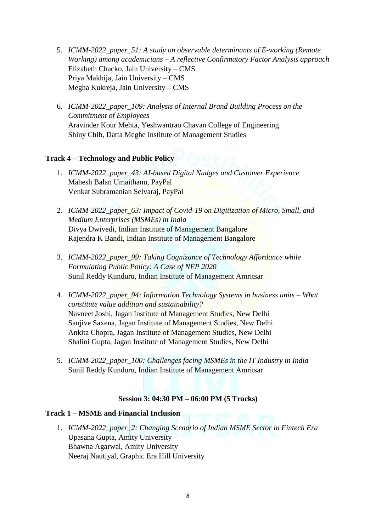- 5. *ICMM-2022\_paper\_51: A study on observable determinants of E-working (Remote Working) among academicians – A reflective Confirmatory Factor Analysis approach* Elizabeth Chacko, Jain University – CMS Priya Makhija, Jain University – CMS Megha Kukreja, Jain University – CMS
- 6. *ICMM-2022\_paper\_109: Analysis of Internal Brand Building Process on the Commitment of Employees* Aravinder Kour Mehta, Yeshwantrao Chavan College of Engineering Shiny Chib, Datta Meghe Institute of Management Studies

# **Track 4 – Technology and Public Policy**

- 1. *ICMM-2022\_paper\_43: AI-based Digital Nudges and Customer Experience* Mahesh Balan Umaithanu, PayPal Venkat Subramanian Selvaraj, PayPal
- 2. *ICMM-2022\_paper\_63: Impact of Covid-19 on Digitization of Micro, Small, and Medium Enterprises (MSMEs) in India* Divya Dwivedi, Indian Institute of Management Bangalore Rajendra K Bandi, Indian Institute of Management Bangalore
- 3. *ICMM-2022\_paper\_99: Taking Cognizance of Technology Affordance while Formulating Public Policy: A Case of NEP 2020* Sunil Reddy Kunduru, Indian Institute of Management Amritsar
- 4. *ICMM-2022\_paper\_94: Information Technology Systems in business units – What constitute value addition and sustainability?* Navneet Joshi, Jagan Institute of Management Studies, New Delhi Sanjive Saxena, Jagan Institute of Management Studies, New Delhi Ankita Chopra, Jagan Institute of Management Studies, New Delhi Shalini Gupta, Jagan Institute of Management Studies, New Delhi
- 5. *ICMM-2022\_paper\_100: Challenges facing MSMEs in the IT Industry in India* Sunil Reddy Kunduru, Indian Institute of Management Amritsar

## **Session 3: 04:30 PM – 06:00 PM (5 Tracks)**

#### **Track 1 – MSME and Financial Inclusion**

1. *ICMM-2022\_paper\_2: Changing Scenario of Indian MSME Sector in Fintech Era* Upasana Gupta, Amity University Bhawna Agarwal, Amity University Neeraj Nautiyal, Graphic Era Hill University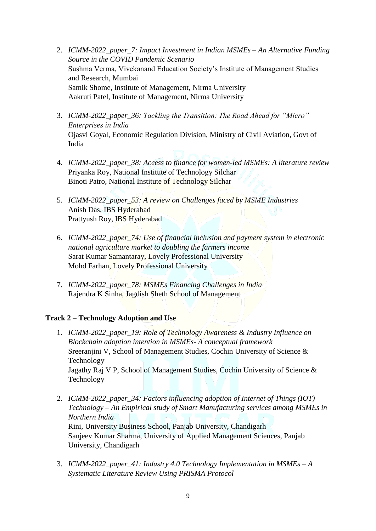- 2. *ICMM-2022\_paper\_7: Impact Investment in Indian MSMEs – An Alternative Funding Source in the COVID Pandemic Scenario* Sushma Verma, Vivekanand Education Society's Institute of Management Studies and Research, Mumbai Samik Shome, Institute of Management, Nirma University Aakruti Patel, Institute of Management, Nirma University
- 3. *ICMM-2022\_paper\_36: Tackling the Transition: The Road Ahead for "Micro" Enterprises in India* Ojasvi Goyal, Economic Regulation Division, Ministry of Civil Aviation, Govt of India
- 4. *ICMM-2022\_paper\_38: Access to finance for women-led MSMEs: A literature review*  Priyanka Roy, National Institute of Technology Silchar Binoti Patro, National Institute of Technology Silchar
- 5. *ICMM-2022\_paper\_53: A review on Challenges faced by MSME Industries* Anish Das, IBS Hyderabad Prattyush Roy, IBS Hyderabad
- 6. *ICMM-2022\_paper\_74: Use of financial inclusion and payment system in electronic national agriculture market to doubling the farmers income* Sarat Kumar Samantaray, Lovely Professional University Mohd Farhan, Lovely Professional University
- 7. *ICMM-2022\_paper\_78: MSMEs Financing Challenges in India* Rajendra K Sinha, Jagdish Sheth School of Management

#### **Track 2 – Technology Adoption and Use**

- 1. *ICMM-2022\_paper\_19: Role of Technology Awareness & Industry Influence on Blockchain adoption intention in MSMEs- A conceptual framework* Sreeranjini V, School of Management Studies, Cochin University of Science & Technology Jagathy Raj V P, School of Management Studies, Cochin University of Science & Technology
- 2. *ICMM-2022\_paper\_34: Factors influencing adoption of Internet of Things (IOT) Technology – An Empirical study of Smart Manufacturing services among MSMEs in Northern India* Rini, University Business School, Panjab University, Chandigarh Sanjeev Kumar Sharma, University of Applied Management Sciences, Panjab University, Chandigarh
- 3. *ICMM-2022\_paper\_41: Industry 4.0 Technology Implementation in MSMEs – A Systematic Literature Review Using PRISMA Protocol*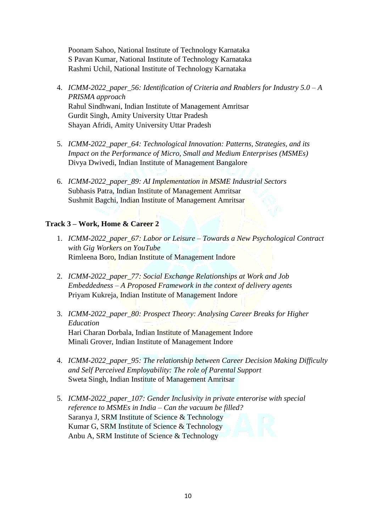Poonam Sahoo, National Institute of Technology Karnataka S Pavan Kumar, National Institute of Technology Karnataka Rashmi Uchil, National Institute of Technology Karnataka

- 4. *ICMM-2022\_paper\_56: Identification of Criteria and Rnablers for Industry 5.0 – A PRISMA approach* Rahul Sindhwani, Indian Institute of Management Amritsar Gurdit Singh, Amity University Uttar Pradesh Shayan Afridi, Amity University Uttar Pradesh
- 5. *ICMM-2022\_paper\_64: Technological Innovation: Patterns, Strategies, and its Impact on the Performance of Micro, Small and Medium Enterprises (MSMEs)* Divya Dwivedi, Indian Institute of Management Bangalore
- 6. *ICMM-2022\_paper\_89: AI Implementation in MSME Industrial Sectors* Subhasis Patra, Indian Institute of Management Amritsar Sushmit Bagchi, Indian Institute of Management Amritsar

#### **Track 3 – Work, Home & Career 2**

- 1. *ICMM-2022\_paper\_67: Labor or Leisure – Towards a New Psychological Contract with Gig Workers on YouTube* Rimleena Boro, Indian Institute of Management Indore
- 2. *ICMM-2022\_paper\_77: Social Exchange Relationships at Work and Job Embeddedness – A Proposed Framework in the context of delivery agents* Priyam Kukreja, Indian Institute of Management Indore
- 3. *ICMM-2022\_paper\_80: Prospect Theory: Analysing Career Breaks for Higher Education* Hari Charan Dorbala, Indian Institute of Management Indore Minali Grover, Indian Institute of Management Indore
- 4. *ICMM-2022\_paper\_95: The relationship between Career Decision Making Difficulty and Self Perceived Employability: The role of Parental Support* Sweta Singh, Indian Institute of Management Amritsar
- 5. *ICMM-2022\_paper\_107: Gender Inclusivity in private enterorise with special reference to MSMEs in India – Can the vacuum be filled?* Saranya J, SRM Institute of Science & Technology Kumar G, SRM Institute of Science & Technology Anbu A, SRM Institute of Science & Technology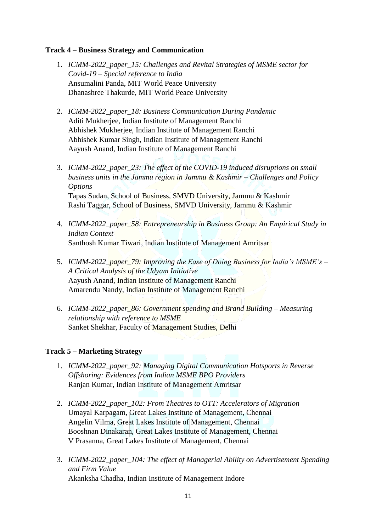#### **Track 4 – Business Strategy and Communication**

- 1. *ICMM-2022\_paper\_15: Challenges and Revital Strategies of MSME sector for Covid-19 – Special reference to India* Ansumalini Panda, MIT World Peace University Dhanashree Thakurde, MIT World Peace University
- 2. *ICMM-2022\_paper\_18: Business Communication During Pandemic* Aditi Mukherjee, Indian Institute of Management Ranchi Abhishek Mukherjee, Indian Institute of Management Ranchi Abhishek Kumar Singh, Indian Institute of Management Ranchi Aayush Anand, Indian Institute of Management Ranchi
- 3. *ICMM-2022\_paper\_23: The effect of the COVID-19 induced disruptions on small business units in the Jammu region in Jammu & Kashmir – Challenges and Policy Options* Tapas Sudan, School of Business, SMVD University, Jammu & Kashmir Rashi Taggar, School of Business, SMVD University, Jammu & Kashmir
- 4. *ICMM-2022\_paper\_58: Entrepreneurship in Business Group: An Empirical Study in Indian Context* Santhosh Kumar Tiwari, Indian Institute of Management Amritsar
- 5. *ICMM-2022\_paper\_79: Improving the Ease of Doing Business for India's MSME's – A Critical Analysis of the Udyam Initiative* Aayush Anand, Indian Institute of Management Ranchi Amarendu Nandy, Indian Institute of Management Ranchi
- 6. *ICMM-2022\_paper\_86: Government spending and Brand Building – Measuring relationship with reference to MSME* Sanket Shekhar, Faculty of Management Studies, Delhi

#### **Track 5 – Marketing Strategy**

- 1. *ICMM-2022\_paper\_92: Managing Digital Communication Hotsports in Reverse Offshoring: Evidences from Indian MSME BPO Providers* Ranjan Kumar, Indian Institute of Management Amritsar
- 2. *ICMM-2022\_paper\_102: From Theatres to OTT: Accelerators of Migration* Umayal Karpagam, Great Lakes Institute of Management, Chennai Angelin Vilma, Great Lakes Institute of Management, Chennai Booshnan Dinakaran, Great Lakes Institute of Management, Chennai V Prasanna, Great Lakes Institute of Management, Chennai
- 3. *ICMM-2022\_paper\_104: The effect of Managerial Ability on Advertisement Spending and Firm Value* Akanksha Chadha, Indian Institute of Management Indore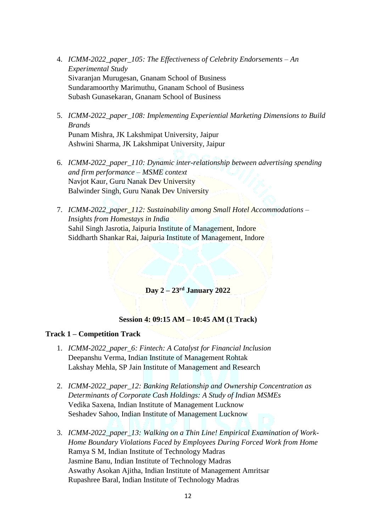- 4. *ICMM-2022\_paper\_105: The Effectiveness of Celebrity Endorsements – An Experimental Study* Sivaranjan Murugesan, Gnanam School of Business Sundaramoorthy Marimuthu, Gnanam School of Business Subash Gunasekaran, Gnanam School of Business
- 5. *ICMM-2022\_paper\_108: Implementing Experiential Marketing Dimensions to Build Brands* Punam Mishra, JK Lakshmipat University, Jaipur Ashwini Sharma, JK Lakshmipat University, Jaipur
- 6. *ICMM-2022\_paper\_110: Dynamic inter-relationship between advertising spending and firm performance – MSME context* Navjot Kaur, Guru Nanak Dev University Balwinder Singh, Guru Nanak Dev University
- 7. *ICMM-2022\_paper\_112: Sustainability among Small Hotel Accommodations – Insights from Homestays in India* Sahil Singh Jasrotia, Jaipuria Institute of Management, Indore Siddharth Shankar Rai, Jaipuria Institute of Management, Indore

# **Day 2 – 23rd January 2022**

#### **Session 4: 09:15 AM – 10:45 AM (1 Track)**

#### **Track 1 – Competition Track**

- 1. *ICMM-2022\_paper\_6: Fintech: A Catalyst for Financial Inclusion* Deepanshu Verma, Indian Institute of Management Rohtak Lakshay Mehla, SP Jain Institute of Management and Research
- 2. *ICMM-2022\_paper\_12: Banking Relationship and Ownership Concentration as Determinants of Corporate Cash Holdings: A Study of Indian MSMEs* Vedika Saxena, Indian Institute of Management Lucknow Seshadev Sahoo, Indian Institute of Management Lucknow
- 3. *ICMM-2022\_paper\_13: Walking on a Thin Line! Empirical Examination of Work-Home Boundary Violations Faced by Employees During Forced Work from Home* Ramya S M, Indian Institute of Technology Madras Jasmine Banu, Indian Institute of Technology Madras Aswathy Asokan Ajitha, Indian Institute of Management Amritsar Rupashree Baral, Indian Institute of Technology Madras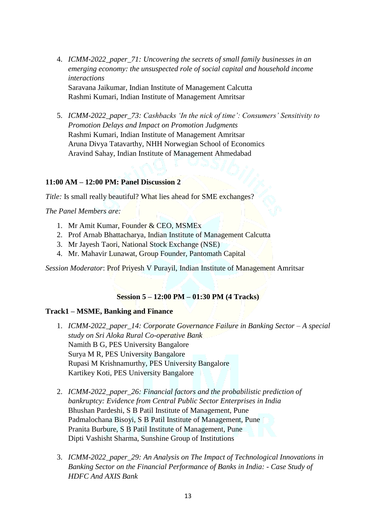- 4. *ICMM-2022\_paper\_71: Uncovering the secrets of small family businesses in an emerging economy: the unsuspected role of social capital and household income interactions* Saravana Jaikumar, Indian Institute of Management Calcutta Rashmi Kumari, Indian Institute of Management Amritsar
- 5. *ICMM-2022\_paper\_73: Cashbacks 'In the nick of time': Consumers' Sensitivity to Promotion Delays and Impact on Promotion Judgments* Rashmi Kumari, Indian Institute of Management Amritsar Aruna Divya Tatavarthy, NHH Norwegian School of Economics Aravind Sahay, Indian Institute of Management Ahmedabad

#### **11:00 AM – 12:00 PM: Panel Discussion 2**

*Title:* Is small really beautiful? What lies ahead for SME exchanges?

*The Panel Members are:*

- 1. Mr Amit Kumar, Founder & CEO, MSMEx
- 2. Prof Arnab Bhattacharya, Indian Institute of Management Calcutta
- 3. Mr Jayesh Taori, National Stock Exchange (NSE)
- 4. Mr. Mahavir Lunawat, Group Founder, Pantomath Capital

*Session Moderator*: Prof Priyesh V Purayil, Indian Institute of Management Amritsar

#### **Session 5 – 12:00 PM – 01:30 PM (4 Tracks)**

#### **Track1 – MSME, Banking and Finance**

- 1. *ICMM-2022\_paper\_14: Corporate Governance Failure in Banking Sector – A special study on Sri Aloka Rural Co-operative Bank* Namith B G, PES University Bangalore Surya M R, PES University Bangalore Rupasi M Krishnamurthy, PES University Bangalore Kartikey Koti, PES University Bangalore
- 2. *ICMM-2022\_paper\_26: Financial factors and the probabilistic prediction of bankruptcy: Evidence from Central Public Sector Enterprises in India* Bhushan Pardeshi, S B Patil Institute of Management, Pune Padmalochana Bisoyi, S B Patil Institute of Management, Pune Pranita Burbure, S B Patil Institute of Management, Pune Dipti Vashisht Sharma, Sunshine Group of Institutions
- 3. *ICMM-2022\_paper\_29: An Analysis on The Impact of Technological Innovations in Banking Sector on the Financial Performance of Banks in India: - Case Study of HDFC And AXIS Bank*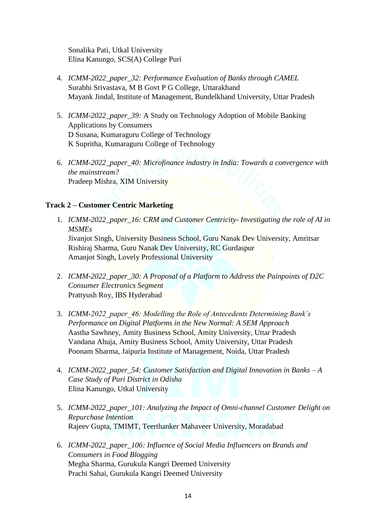Sonalika Pati, Utkal University Elina Kanungo, SCS(A) College Puri

- 4. *ICMM-2022\_paper\_32: Performance Evaluation of Banks through CAMEL* Surabhi Srivastava, M B Govt P G College, Uttarakhand Mayank Jindal, Institute of Management, Bundelkhand University, Uttar Pradesh
- 5. *ICMM-2022\_paper\_39:* A Study on Technology Adoption of Mobile Banking Applications by Consumers D Susana, Kumaraguru College of Technology K Supritha, Kumaraguru College of Technology
- 6. *ICMM-2022\_paper\_40: Microfinance industry in India: Towards a convergence with the mainstream?* Pradeep Mishra, XIM University

#### **Track 2 – Customer Centric Marketing**

- 1. *ICMM-2022\_paper\_16: CRM and Customer Centricity- Investigating the role of AI in MSMEs* Jivanjot Singh, University Business School, Guru Nanak Dev University, Amritsar Rishiraj Sharma, Guru Nanak Dev University, RC Gurdaspur Amanjot Singh, Lovely Professional University
- 2. *ICMM-2022\_paper\_30: A Proposal of a Platform to Address the Painpoints of D2C Consumer Electronics Segment* Prattyush Roy, IBS Hyderabad
- 3. *ICMM-2022\_paper\_46: Modelling the Role of Antecedents Determining Bank's Performance on Digital Platforms in the New Normal: A SEM Approach* Aastha Sawhney, Amity Business School, Amity University, Uttar Pradesh Vandana Ahuja, Amity Business School, Amity University, Uttar Pradesh Poonam Sharma, Jaipuria Institute of Management, Noida, Uttar Pradesh
- 4. *ICMM-2022\_paper\_54: Customer Satisfaction and Digital Innovation in Banks – A Case Study of Puri District in Odisha* Elina Kanungo, Utkal University
- 5. *ICMM-2022\_paper\_101: Analyzing the Impact of Omni-channel Customer Delight on Repurchase Intention* Rajeev Gupta, TMIMT, Teerthanker Mahaveer University, Moradabad
- 6. *ICMM-2022\_paper\_106: Influence of Social Media Influencers on Brands and Consumers in Food Blogging* Megha Sharma, Gurukula Kangri Deemed University Prachi Sahai, Gurukula Kangri Deemed University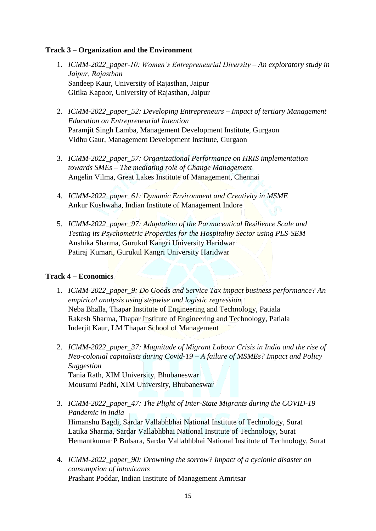#### **Track 3 – Organization and the Environment**

- 1. *ICMM-2022\_paper-10: Women's Entrepreneurial Diversity – An exploratory study in Jaipur, Rajasthan* Sandeep Kaur, University of Rajasthan, Jaipur Gitika Kapoor, University of Rajasthan, Jaipur
- 2. *ICMM-2022\_paper\_52: Developing Entrepreneurs – Impact of tertiary Management Education on Entrepreneurial Intention* Paramjit Singh Lamba, Management Development Institute, Gurgaon Vidhu Gaur, Management Development Institute, Gurgaon
- 3. *ICMM-2022\_paper\_57: Organizational Performance on HRIS implementation towards SMEs – The mediating role of Change Management* Angelin Vilma, Great Lakes Institute of Management, Chennai
- 4. *ICMM-2022\_paper\_61: Dynamic Environment and Creativity in MSME* Ankur Kushwaha, Indian Institute of Management Indore
- 5. *ICMM-2022\_paper\_97: Adaptation of the Parmaceutical Resilience Scale and Testing its Psychometric Properties for the Hospitality Sector using PLS-SEM* Anshika Sharma, Gurukul Kangri University Haridwar Patiraj Kumari, Gurukul Kangri University Haridwar

#### **Track 4 – Economics**

- 1. *ICMM-2022\_paper\_9: Do Goods and Service Tax impact business performance? An empirical analysis using stepwise and logistic regression* Neba Bhalla, Thapar Institute of Engineering and Technology, Patiala Rakesh Sharma, Thapar Institute of Engineering and Technology, Patiala Inderjit Kaur, LM Thapar School of Management
- 2. *ICMM-2022\_paper\_37: Magnitude of Migrant Labour Crisis in India and the rise of Neo-colonial capitalists during Covid-19 – A failure of MSMEs? Impact and Policy Suggestion* Tania Rath, XIM University, Bhubaneswar Mousumi Padhi, XIM University, Bhubaneswar
- 3. *ICMM-2022\_paper\_47: The Plight of Inter-State Migrants during the COVID-19 Pandemic in India* Himanshu Bagdi, Sardar Vallabhbhai National Institute of Technology, Surat Latika Sharma, Sardar Vallabhbhai National Institute of Technology, Surat Hemantkumar P Bulsara, Sardar Vallabhbhai National Institute of Technology, Surat
- 4. *ICMM-2022\_paper\_90: Drowning the sorrow? Impact of a cyclonic disaster on consumption of intoxicants* Prashant Poddar, Indian Institute of Management Amritsar